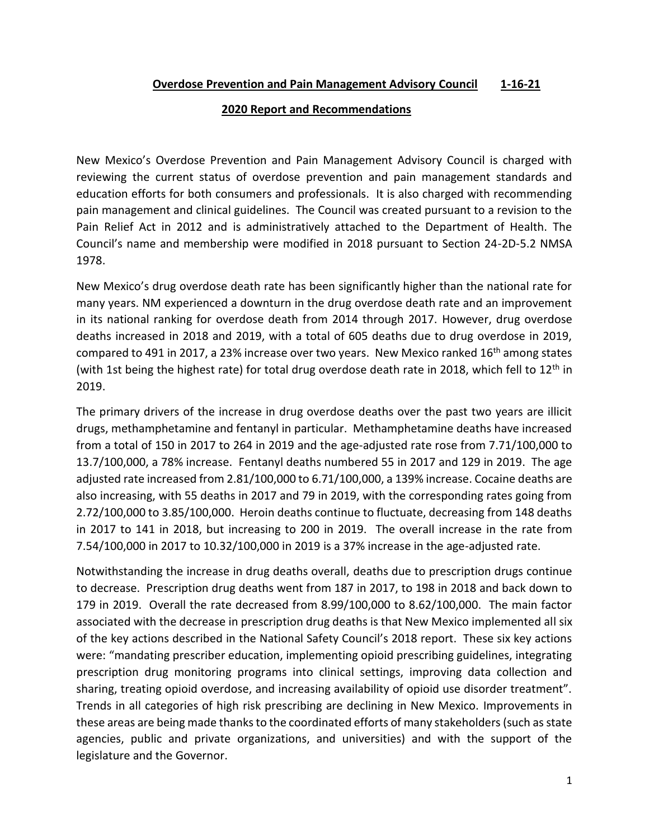## **Overdose Prevention and Pain Management Advisory Council 1-16-21**

## **2020 Report and Recommendations**

New Mexico's Overdose Prevention and Pain Management Advisory Council is charged with reviewing the current status of overdose prevention and pain management standards and education efforts for both consumers and professionals. It is also charged with recommending pain management and clinical guidelines. The Council was created pursuant to a revision to the Pain Relief Act in 2012 and is administratively attached to the Department of Health. The Council's name and membership were modified in 2018 pursuant to Section 24-2D-5.2 NMSA 1978.

New Mexico's drug overdose death rate has been significantly higher than the national rate for many years. NM experienced a downturn in the drug overdose death rate and an improvement in its national ranking for overdose death from 2014 through 2017. However, drug overdose deaths increased in 2018 and 2019, with a total of 605 deaths due to drug overdose in 2019, compared to 491 in 2017, a 23% increase over two years. New Mexico ranked  $16<sup>th</sup>$  among states (with 1st being the highest rate) for total drug overdose death rate in 2018, which fell to  $12<sup>th</sup>$  in 2019.

The primary drivers of the increase in drug overdose deaths over the past two years are illicit drugs, methamphetamine and fentanyl in particular. Methamphetamine deaths have increased from a total of 150 in 2017 to 264 in 2019 and the age-adjusted rate rose from 7.71/100,000 to 13.7/100,000, a 78% increase. Fentanyl deaths numbered 55 in 2017 and 129 in 2019. The age adjusted rate increased from 2.81/100,000 to 6.71/100,000, a 139% increase. Cocaine deaths are also increasing, with 55 deaths in 2017 and 79 in 2019, with the corresponding rates going from 2.72/100,000 to 3.85/100,000. Heroin deaths continue to fluctuate, decreasing from 148 deaths in 2017 to 141 in 2018, but increasing to 200 in 2019. The overall increase in the rate from 7.54/100,000 in 2017 to 10.32/100,000 in 2019 is a 37% increase in the age-adjusted rate.

Notwithstanding the increase in drug deaths overall, deaths due to prescription drugs continue to decrease. Prescription drug deaths went from 187 in 2017, to 198 in 2018 and back down to 179 in 2019. Overall the rate decreased from 8.99/100,000 to 8.62/100,000. The main factor associated with the decrease in prescription drug deaths is that New Mexico implemented all six of the key actions described in the National Safety Council's 2018 report. These six key actions were: "mandating prescriber education, implementing opioid prescribing guidelines, integrating prescription drug monitoring programs into clinical settings, improving data collection and sharing, treating opioid overdose, and increasing availability of opioid use disorder treatment". Trends in all categories of high risk prescribing are declining in New Mexico. Improvements in these areas are being made thanks to the coordinated efforts of many stakeholders (such as state agencies, public and private organizations, and universities) and with the support of the legislature and the Governor.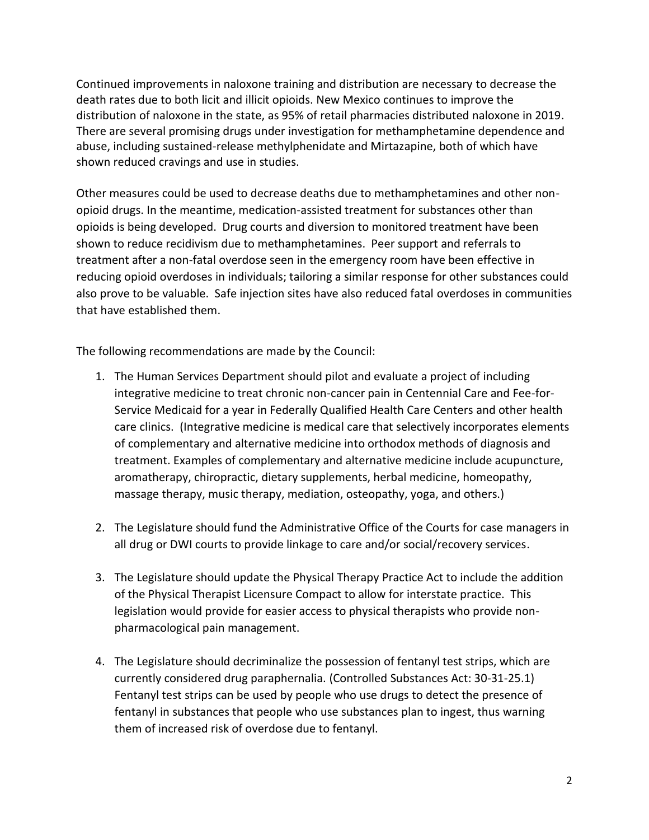Continued improvements in naloxone training and distribution are necessary to decrease the death rates due to both licit and illicit opioids. New Mexico continues to improve the distribution of naloxone in the state, as 95% of retail pharmacies distributed naloxone in 2019. There are several promising drugs under investigation for methamphetamine dependence and abuse, including sustained-release methylphenidate and Mirtazapine, both of which have shown reduced cravings and use in studies.

Other measures could be used to decrease deaths due to methamphetamines and other nonopioid drugs. In the meantime, medication-assisted treatment for substances other than opioids is being developed. Drug courts and diversion to monitored treatment have been shown to reduce recidivism due to methamphetamines. Peer support and referrals to treatment after a non-fatal overdose seen in the emergency room have been effective in reducing opioid overdoses in individuals; tailoring a similar response for other substances could also prove to be valuable. Safe injection sites have also reduced fatal overdoses in communities that have established them.

The following recommendations are made by the Council:

- 1. The Human Services Department should pilot and evaluate a project of including integrative medicine to treat chronic non-cancer pain in Centennial Care and Fee-for-Service Medicaid for a year in Federally Qualified Health Care Centers and other health care clinics. (Integrative medicine is medical care that selectively incorporates elements of complementary and alternative medicine into orthodox methods of diagnosis and treatment. Examples of complementary and alternative medicine include acupuncture, aromatherapy, chiropractic, dietary supplements, herbal medicine, homeopathy, massage therapy, music therapy, mediation, osteopathy, yoga, and others.)
- 2. The Legislature should fund the Administrative Office of the Courts for case managers in all drug or DWI courts to provide linkage to care and/or social/recovery services.
- 3. The Legislature should update the Physical Therapy Practice Act to include the addition of the Physical Therapist Licensure Compact to allow for interstate practice. This legislation would provide for easier access to physical therapists who provide nonpharmacological pain management.
- 4. The Legislature should decriminalize the possession of fentanyl test strips, which are currently considered drug paraphernalia. (Controlled Substances Act: 30-31-25.1) Fentanyl test strips can be used by people who use drugs to detect the presence of fentanyl in substances that people who use substances plan to ingest, thus warning them of increased risk of overdose due to fentanyl.